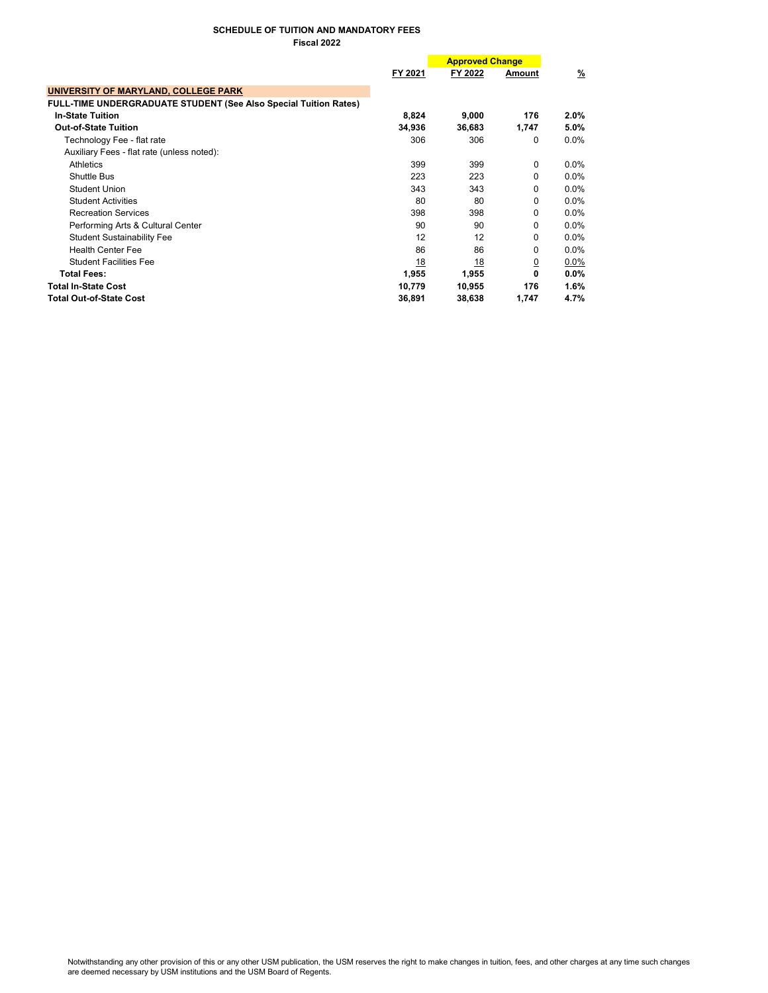# SCHEDULE OF TUITION AND MANDATORY FEES Fiscal 2022

|                                                                         |           | <b>Approved Change</b> |                |               |  |
|-------------------------------------------------------------------------|-----------|------------------------|----------------|---------------|--|
|                                                                         | FY 2021   | FY 2022                | Amount         | $\frac{9}{6}$ |  |
| UNIVERSITY OF MARYLAND, COLLEGE PARK                                    |           |                        |                |               |  |
| <b>FULL-TIME UNDERGRADUATE STUDENT (See Also Special Tuition Rates)</b> |           |                        |                |               |  |
| <b>In-State Tuition</b>                                                 | 8,824     | 9,000                  | 176            | $2.0\%$       |  |
| <b>Out-of-State Tuition</b>                                             | 34,936    | 36,683                 | 1,747          | 5.0%          |  |
| Technology Fee - flat rate                                              | 306       | 306                    | 0              | $0.0\%$       |  |
| Auxiliary Fees - flat rate (unless noted):                              |           |                        |                |               |  |
| Athletics                                                               | 399       | 399                    | $\Omega$       | $0.0\%$       |  |
| Shuttle Bus                                                             | 223       | 223                    | $\Omega$       | $0.0\%$       |  |
| Student Union                                                           | 343       | 343                    | $\Omega$       | $0.0\%$       |  |
| <b>Student Activities</b>                                               | 80        | 80                     | 0              | $0.0\%$       |  |
| <b>Recreation Services</b>                                              | 398       | 398                    | $\Omega$       | $0.0\%$       |  |
| Performing Arts & Cultural Center                                       | 90        | 90                     | $\Omega$       | $0.0\%$       |  |
| <b>Student Sustainability Fee</b>                                       | 12        | 12                     | 0              | $0.0\%$       |  |
| <b>Health Center Fee</b>                                                | 86        | 86                     | $\Omega$       | $0.0\%$       |  |
| <b>Student Facilities Fee</b>                                           | <u>18</u> | <u>18</u>              | $\overline{0}$ | $0.0\%$       |  |
| <b>Total Fees:</b>                                                      | 1,955     | 1,955                  | 0              | $0.0\%$       |  |
| <b>Total In-State Cost</b>                                              | 10,779    | 10,955                 | 176            | 1.6%          |  |
| <b>Total Out-of-State Cost</b>                                          | 36,891    | 38,638                 | 1,747          | 4.7%          |  |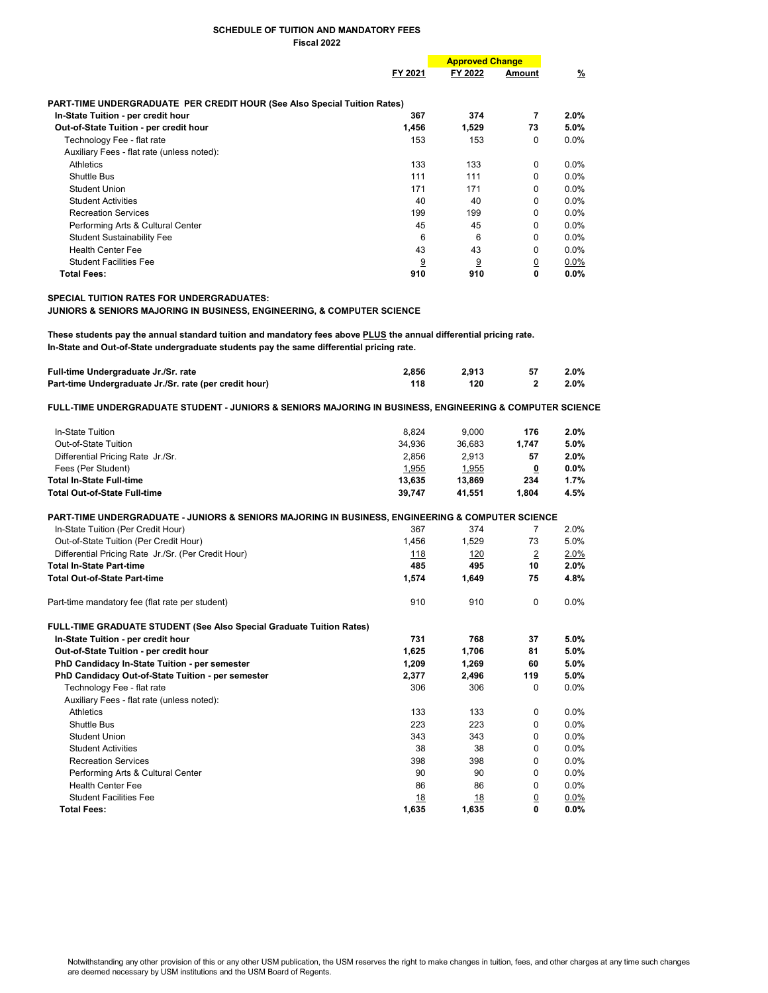#### SCHEDULE OF TUITION AND MANDATORY FEES Fiscal 2022

|                                                                          |         | <b>Approved Change</b> |                |          |
|--------------------------------------------------------------------------|---------|------------------------|----------------|----------|
|                                                                          | FY 2021 | FY 2022                | Amount         | <u>%</u> |
| PART-TIME UNDERGRADUATE PER CREDIT HOUR (See Also Special Tuition Rates) |         |                        |                |          |
| In-State Tuition - per credit hour                                       | 367     | 374                    | 7              | $2.0\%$  |
| Out-of-State Tuition - per credit hour                                   | 1,456   | 1,529                  | 73             | $5.0\%$  |
| Technology Fee - flat rate                                               | 153     | 153                    | 0              | $0.0\%$  |
| Auxiliary Fees - flat rate (unless noted):                               |         |                        |                |          |
| Athletics                                                                | 133     | 133                    | $\mathbf{0}$   | $0.0\%$  |
| Shuttle Bus                                                              | 111     | 111                    | $\Omega$       | $0.0\%$  |
| Student Union                                                            | 171     | 171                    | $\Omega$       | $0.0\%$  |
| <b>Student Activities</b>                                                | 40      | 40                     | $\Omega$       | $0.0\%$  |
| <b>Recreation Services</b>                                               | 199     | 199                    | 0              | $0.0\%$  |
| Performing Arts & Cultural Center                                        | 45      | 45                     | $\Omega$       | $0.0\%$  |
| <b>Student Sustainability Fee</b>                                        | 6       | 6                      | $\Omega$       | $0.0\%$  |
| <b>Health Center Fee</b>                                                 | 43      | 43                     | $\Omega$       | $0.0\%$  |
| <b>Student Facilities Fee</b>                                            | 9       | 9                      | $\overline{0}$ | $0.0\%$  |
| <b>Total Fees:</b>                                                       | 910     | 910                    | 0              | $0.0\%$  |

## SPECIAL TUITION RATES FOR UNDERGRADUATES:

## JUNIORS & SENIORS MAJORING IN BUSINESS, ENGINEERING, & COMPUTER SCIENCE

These students pay the annual standard tuition and mandatory fees above PLUS the annual differential pricing rate. In-State and Out-of-State undergraduate students pay the same differential pricing rate.

| Full-time Undergraduate Jr./Sr. rate                   | 2.856 | 2.913 | -57 | $2.0\%$ |
|--------------------------------------------------------|-------|-------|-----|---------|
| Part-time Undergraduate Jr./Sr. rate (per credit hour) | 118   | 120   |     | $2.0\%$ |

## FULL-TIME UNDERGRADUATE STUDENT - JUNIORS & SENIORS MAJORING IN BUSINESS, ENGINEERING & COMPUTER SCIENCE

| In-State Tuition                                                                                 | 8,824      | 9,000  | 176                     | 2.0%    |
|--------------------------------------------------------------------------------------------------|------------|--------|-------------------------|---------|
| Out-of-State Tuition                                                                             | 34.936     | 36,683 | 1,747                   | 5.0%    |
| Differential Pricing Rate Jr./Sr.                                                                | 2,856      | 2,913  | 57                      | 2.0%    |
| Fees (Per Student)                                                                               | 1,955      | 1,955  | $\overline{\mathbf{0}}$ | $0.0\%$ |
| <b>Total In-State Full-time</b>                                                                  | 13,635     | 13,869 | 234                     | 1.7%    |
| <b>Total Out-of-State Full-time</b>                                                              | 39,747     | 41,551 | 1,804                   | 4.5%    |
| PART-TIME UNDERGRADUATE - JUNIORS & SENIORS MAJORING IN BUSINESS, ENGINEERING & COMPUTER SCIENCE |            |        |                         |         |
| In-State Tuition (Per Credit Hour)                                                               | 367        | 374    | 7                       | 2.0%    |
| Out-of-State Tuition (Per Credit Hour)                                                           | 1.456      | 1,529  | 73                      | 5.0%    |
| Differential Pricing Rate Jr./Sr. (Per Credit Hour)                                              | <u>118</u> | 120    | $\overline{2}$          | 2.0%    |
| <b>Total In-State Part-time</b>                                                                  | 485        | 495    | 10                      | 2.0%    |
| <b>Total Out-of-State Part-time</b>                                                              | 1,574      | 1,649  | 75                      | 4.8%    |
| Part-time mandatory fee (flat rate per student)                                                  | 910        | 910    | 0                       | $0.0\%$ |
| <b>FULL-TIME GRADUATE STUDENT (See Also Special Graduate Tuition Rates)</b>                      |            |        |                         |         |
| In-State Tuition - per credit hour                                                               | 731        | 768    | 37                      | 5.0%    |
| Out-of-State Tuition - per credit hour                                                           | 1,625      | 1,706  | 81                      | 5.0%    |
| PhD Candidacy In-State Tuition - per semester                                                    | 1,209      | 1,269  | 60                      | 5.0%    |
| PhD Candidacy Out-of-State Tuition - per semester                                                | 2,377      | 2,496  | 119                     | 5.0%    |
| Technology Fee - flat rate                                                                       | 306        | 306    | 0                       | 0.0%    |
| Auxiliary Fees - flat rate (unless noted):                                                       |            |        |                         |         |
| Athletics                                                                                        | 133        | 133    | 0                       | $0.0\%$ |
| Shuttle Bus                                                                                      | 223        | 223    | $\Omega$                | $0.0\%$ |
| <b>Student Union</b>                                                                             | 343        | 343    | 0                       | $0.0\%$ |
| <b>Student Activities</b>                                                                        | 38         | 38     | 0                       | 0.0%    |
| <b>Recreation Services</b>                                                                       | 398        | 398    | $\Omega$                | 0.0%    |
| Performing Arts & Cultural Center                                                                | 90         | 90     | 0                       | 0.0%    |
| <b>Health Center Fee</b>                                                                         | 86         | 86     | $\Omega$                | 0.0%    |
| <b>Student Facilities Fee</b>                                                                    | 18         | 18     | $\overline{0}$          | $0.0\%$ |
| <b>Total Fees:</b>                                                                               | 1,635      | 1,635  | 0                       | 0.0%    |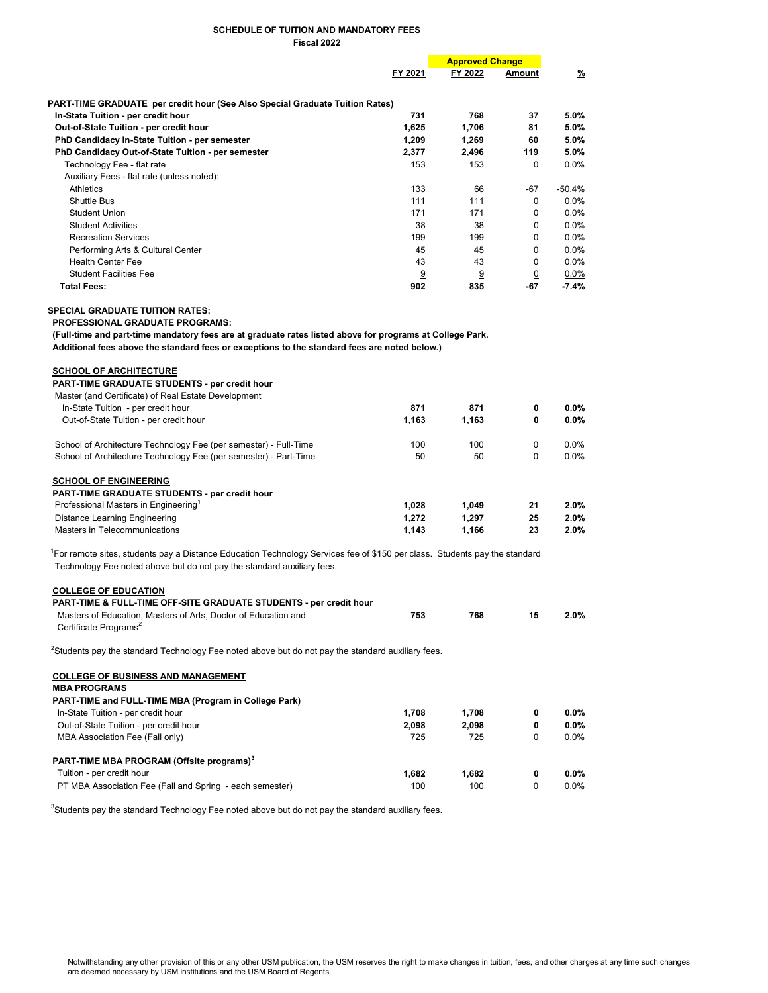#### SCHEDULE OF TUITION AND MANDATORY FEES Fiscal 2022

|                                                                                     | FY 2021 |       | <b>Approved Change</b> |          |
|-------------------------------------------------------------------------------------|---------|-------|------------------------|----------|
|                                                                                     |         |       | Amount                 | <u>%</u> |
| <b>PART-TIME GRADUATE</b> per credit hour (See Also Special Graduate Tuition Rates) |         |       |                        |          |
| In-State Tuition - per credit hour                                                  | 731     | 768   | 37                     | $5.0\%$  |
| Out-of-State Tuition - per credit hour                                              | 1,625   | 1,706 | 81                     | 5.0%     |
| PhD Candidacy In-State Tuition - per semester                                       | 1,209   | 1,269 | 60                     | $5.0\%$  |
| PhD Candidacy Out-of-State Tuition - per semester                                   | 2,377   | 2,496 | 119                    | $5.0\%$  |
| Technology Fee - flat rate                                                          | 153     | 153   | 0                      | $0.0\%$  |
| Auxiliary Fees - flat rate (unless noted):                                          |         |       |                        |          |
| Athletics                                                                           | 133     | 66    | -67                    | $-50.4%$ |
| Shuttle Bus                                                                         | 111     | 111   | 0                      | $0.0\%$  |
| Student Union                                                                       | 171     | 171   | $\Omega$               | $0.0\%$  |
| <b>Student Activities</b>                                                           | 38      | 38    | $\Omega$               | $0.0\%$  |
| <b>Recreation Services</b>                                                          | 199     | 199   | $\Omega$               | $0.0\%$  |
| Performing Arts & Cultural Center                                                   | 45      | 45    | $\Omega$               | $0.0\%$  |
| <b>Health Center Fee</b>                                                            | 43      | 43    | $\Omega$               | $0.0\%$  |
| <b>Student Facilities Fee</b>                                                       | 9       | 9     | 0                      | $0.0\%$  |
| <b>Total Fees:</b>                                                                  | 902     | 835   | $-67$                  | $-7.4%$  |

SPECIAL GRADUATE TUITION RATES:

PROFESSIONAL GRADUATE PROGRAMS:

 (Full-time and part-time mandatory fees are at graduate rates listed above for programs at College Park. Additional fees above the standard fees or exceptions to the standard fees are noted below.)

| <b>SCHOOL OF ARCHITECTURE</b><br><b>PART-TIME GRADUATE STUDENTS - per credit hour</b><br>Master (and Certificate) of Real Estate Development |       |       |          |         |
|----------------------------------------------------------------------------------------------------------------------------------------------|-------|-------|----------|---------|
| In-State Tuition - per credit hour                                                                                                           | 871   | 871   | 0        | $0.0\%$ |
| Out-of-State Tuition - per credit hour                                                                                                       | 1.163 | 1,163 | 0        | $0.0\%$ |
| School of Architecture Technology Fee (per semester) - Full-Time                                                                             | 100   | 100   | 0        | $0.0\%$ |
| School of Architecture Technology Fee (per semester) - Part-Time                                                                             | 50    | 50    | $\Omega$ | $0.0\%$ |
| <b>SCHOOL OF ENGINEERING</b>                                                                                                                 |       |       |          |         |
| <b>PART-TIME GRADUATE STUDENTS - per credit hour</b>                                                                                         |       |       |          |         |
| Professional Masters in Engineering <sup>1</sup>                                                                                             | 1.028 | 1.049 | 21       | $2.0\%$ |
| Distance Learning Engineering                                                                                                                | 1.272 | 1.297 | 25       | 2.0%    |
| Masters in Telecommunications                                                                                                                | 1.143 | 1.166 | 23       | 2.0%    |

<sup>1</sup>For remote sites, students pay a Distance Education Technology Services fee of \$150 per class. Students pay the standard Technology Fee noted above but do not pay the standard auxiliary fees.

| <b>COLLEGE OF EDUCATION</b>                                                                         |     |     |    |         |
|-----------------------------------------------------------------------------------------------------|-----|-----|----|---------|
| <b>PART-TIME &amp; FULL-TIME OFF-SITE GRADUATE STUDENTS - per credit hour</b>                       |     |     |    |         |
| Masters of Education. Masters of Arts. Doctor of Education and<br>Certificate Programs <sup>2</sup> | 753 | 768 | 15 | $2.0\%$ |

 $2$ Students pay the standard Technology Fee noted above but do not pay the standard auxiliary fees.

| <b>COLLEGE OF BUSINESS AND MANAGEMENT</b><br><b>MBA PROGRAMS</b><br>PART-TIME and FULL-TIME MBA (Program in College Park) |       |       |   |         |
|---------------------------------------------------------------------------------------------------------------------------|-------|-------|---|---------|
| In-State Tuition - per credit hour                                                                                        | 1.708 | 1.708 | 0 | $0.0\%$ |
| Out-of-State Tuition - per credit hour                                                                                    | 2.098 | 2.098 | 0 | $0.0\%$ |
| MBA Association Fee (Fall only)                                                                                           | 725   | 725   | 0 | $0.0\%$ |
| PART-TIME MBA PROGRAM (Offsite programs) <sup>3</sup>                                                                     |       |       |   |         |
| Tuition - per credit hour                                                                                                 | 1.682 | 1.682 | 0 | $0.0\%$ |
| PT MBA Association Fee (Fall and Spring - each semester)                                                                  | 100   | 100   | 0 | $0.0\%$ |

 $3$ Students pay the standard Technology Fee noted above but do not pay the standard auxiliary fees.